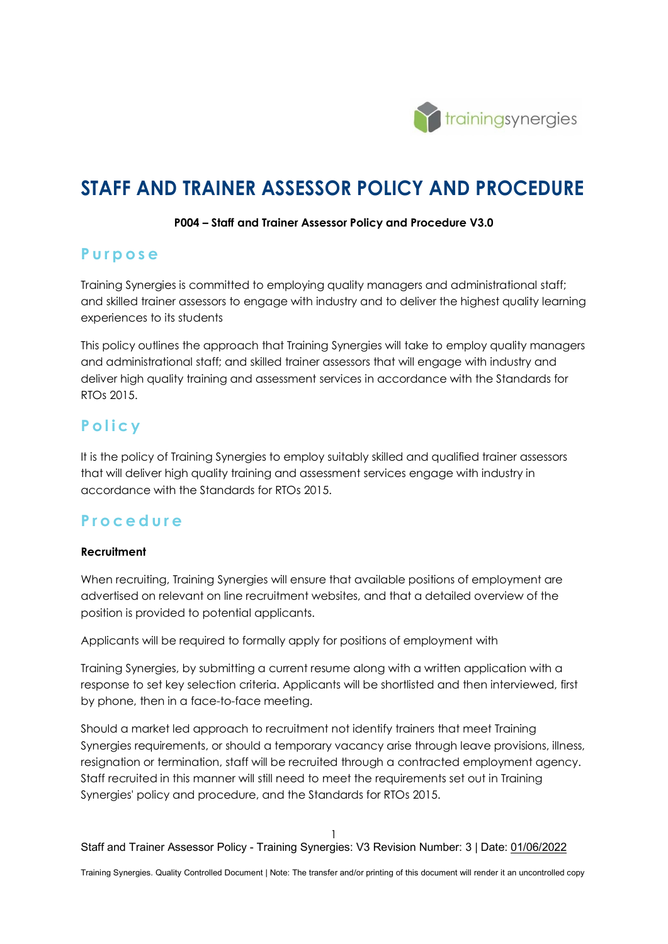

# **STAFF AND TRAINER ASSESSOR POLICY AND PROCEDURE**

#### **P004 – Staff and Trainer Assessor Policy and Procedure V3.0**

# **Purpose**

Training Synergies is committed to employing quality managers and administrational staff; and skilled trainer assessors to engage with industry and to deliver the highest quality learning experiences to its students

This policy outlines the approach that Training Synergies will take to employ quality managers and administrational staff; and skilled trainer assessors that will engage with industry and deliver high quality training and assessment services in accordance with the Standards for RTOs 2015.

# **P olicy**

It is the policy of Training Synergies to employ suitably skilled and qualified trainer assessors that will deliver high quality training and assessment services engage with industry in accordance with the Standards for RTOs 2015.

# **Procedure**

## **Recruitment**

When recruiting, Training Synergies will ensure that available positions of employment are advertised on relevant on line recruitment websites, and that a detailed overview of the position is provided to potential applicants.

Applicants will be required to formally apply for positions of employment with

Training Synergies, by submitting a current resume along with a written application with a response to set key selection criteria. Applicants will be shortlisted and then interviewed, first by phone, then in a face-to-face meeting.

Should a market led approach to recruitment not identify trainers that meet Training Synergies requirements, or should a temporary vacancy arise through leave provisions, illness, resignation or termination, staff will be recruited through a contracted employment agency. Staff recruited in this manner will still need to meet the requirements set out in Training Synergies' policy and procedure, and the Standards for RTOs 2015.

1 Staff and Trainer Assessor Policy - Training Synergies: V3 Revision Number: 3 | Date: 01/06/2022

Training Synergies. Quality Controlled Document | Note: The transfer and/or printing of this document will render it an uncontrolled copy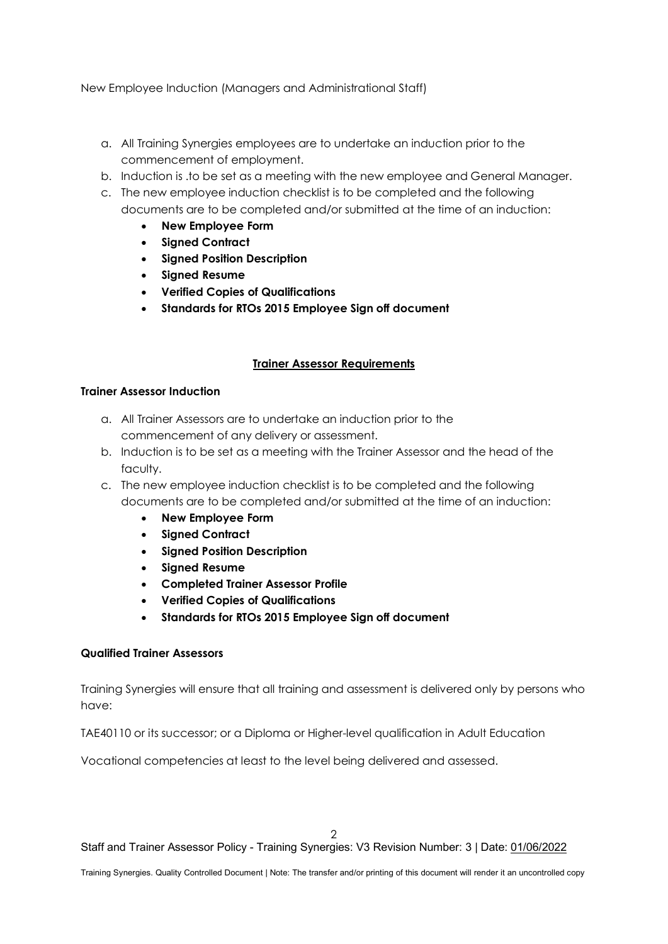New Employee Induction (Managers and Administrational Staff)

- a. All Training Synergies employees are to undertake an induction prior to the commencement of employment.
- b. Induction is .to be set as a meeting with the new employee and General Manager.
- c. The new employee induction checklist is to be completed and the following documents are to be completed and/or submitted at the time of an induction:
	- **New Employee Form**
	- **Signed Contract**
	- **Signed Position Description**
	- **Signed Resume**
	- **Verified Copies of Qualifications**
	- **Standards for RTOs 2015 Employee Sign off document**

## **Trainer Assessor Requirements**

#### **Trainer Assessor Induction**

- a. All Trainer Assessors are to undertake an induction prior to the commencement of any delivery or assessment.
- b. Induction is to be set as a meeting with the Trainer Assessor and the head of the faculty.
- c. The new employee induction checklist is to be completed and the following documents are to be completed and/or submitted at the time of an induction:
	- **New Employee Form**
	- **Signed Contract**
	- **Signed Position Description**
	- **Signed Resume**
	- **Completed Trainer Assessor Profile**
	- **Verified Copies of Qualifications**
	- **Standards for RTOs 2015 Employee Sign off document**

#### **Qualified Trainer Assessors**

Training Synergies will ensure that all training and assessment is delivered only by persons who have:

TAE40110 or its successor; or a Diploma or Higher-level qualification in Adult Education

Vocational competencies at least to the level being delivered and assessed.

 $\mathcal{D}$ 

Staff and Trainer Assessor Policy - Training Synergies: V3 Revision Number: 3 | Date: 01/06/2022

Training Synergies. Quality Controlled Document | Note: The transfer and/or printing of this document will render it an uncontrolled copy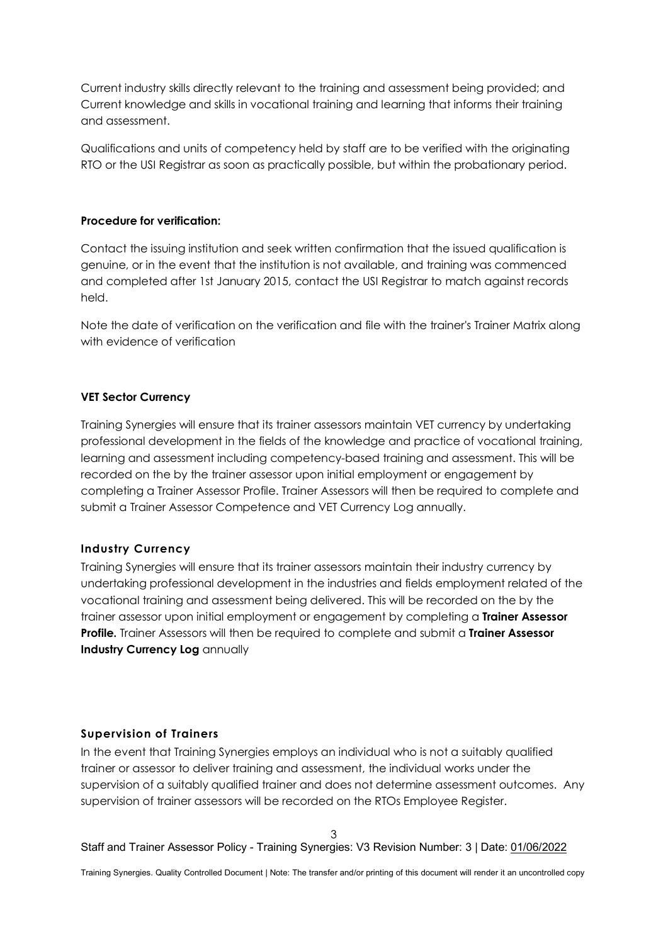Current industry skills directly relevant to the training and assessment being provided; and Current knowledge and skills in vocational training and learning that informs their training and assessment.

Qualifications and units of competency held by staff are to be verified with the originating RTO or the USI Registrar as soon as practically possible, but within the probationary period.

#### **Procedure for verification:**

Contact the issuing institution and seek written confirmation that the issued qualification is genuine, or in the event that the institution is not available, and training was commenced and completed after 1st January 2015, contact the USI Registrar to match against records held.

Note the date of verification on the verification and file with the trainer's Trainer Matrix along with evidence of verification

#### **VET Sector Currency**

Training Synergies will ensure that its trainer assessors maintain VET currency by undertaking professional development in the fields of the knowledge and practice of vocational training, learning and assessment including competency-based training and assessment. This will be recorded on the by the trainer assessor upon initial employment or engagement by completing a Trainer Assessor Profile. Trainer Assessors will then be required to complete and submit a Trainer Assessor Competence and VET Currency Log annually.

## **Industry Currency**

Training Synergies will ensure that its trainer assessors maintain their industry currency by undertaking professional development in the industries and fields employment related of the vocational training and assessment being delivered. This will be recorded on the by the trainer assessor upon initial employment or engagement by completing a **Trainer Assessor Profile.** Trainer Assessors will then be required to complete and submit a **Trainer Assessor Industry Currency Log** annually

#### **Supervision of Trainers**

In the event that Training Synergies employs an individual who is not a suitably qualified trainer or assessor to deliver training and assessment, the individual works under the supervision of a suitably qualified trainer and does not determine assessment outcomes. Any supervision of trainer assessors will be recorded on the RTOs Employee Register.

3 Staff and Trainer Assessor Policy - Training Synergies: V3 Revision Number: 3 | Date: 01/06/2022

Training Synergies. Quality Controlled Document | Note: The transfer and/or printing of this document will render it an uncontrolled copy